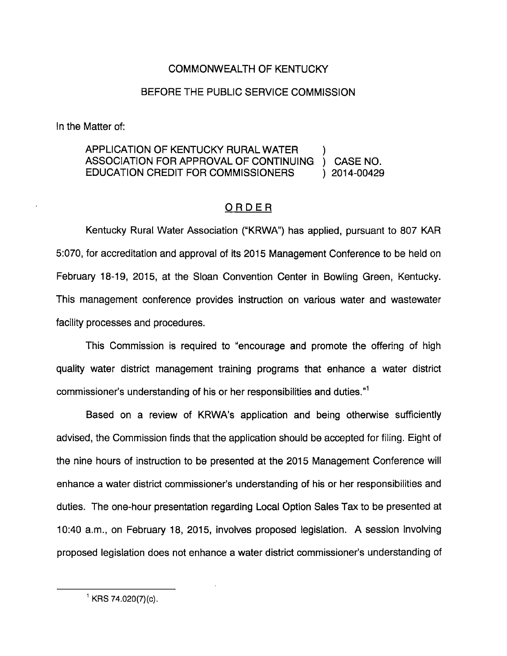## COMMONWEALTH OF KENTUCKY

## BEFORE THE PUBLIC SERVICE COMMISSION

In the Matter of:

## APPLICATION OF KENTUCKY RURAL WATER ) ASSOCIATION FOR APPROVAL OF CONTINUING ) CASE NO. EDUCATION CREDIT FOR COMMISSIONERS ) 2014-00429

## ORDER

Kentucky Rural Water Association ("KRWA") has applied, pursuant to 807 KAR 5:070, for accreditation and approval of its 2015 Management Conference to be held on February 18-19, 2015, at the Sloan Convention Center in Bowling Green, Kentucky. This management conference provides instruction on various water and wastewater facility processes and procedures.

This Commission is required to "encourage and promote the offering of high quality water district management training programs that enhance a water district commissioner's understanding of his or her responsibilities and duties."<sup>1</sup>

Based on a review of KRWA's application and being otherwise sufficiently advised, the Commission finds that the application should be accepted for filing. Eight of the nine hours of instruction to be presented at the 2015 Management Conference will enhance a water district commissioner's understanding of his or her responsibilities and duties. The one-hour presentation regarding Local Option Sales Tax to be presented at 10:40 a.m., on February 18, 2015, involves proposed legislation. A session involving proposed legislation does not enhance a water district commissioner's understanding of

 $^1$  KRS 74.020(7)(c).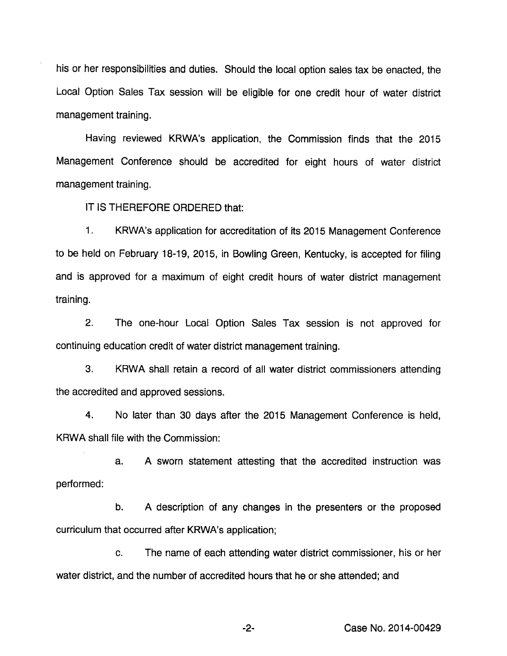his or her responslblilties and duties. Should the local option sales tax be enacted, the Local Option Sales Tax session will be eligible for one credit hour of water district management training.

Having reviewed KRWA's application, the Commission finds that the 2015 Management Conference should be accredited for eight hours of water district management training.

IT IS THEREFORE ORDERED that:

1. KRWA's application for accreditation of its 2015 Management Conference to be held on February 18-19, 2015, in Bowling Green, Kentucky, is accepted for filing and is approved for a maximum of eight credit hours of water district management training.

2. The one-hour Local Option Sales Tax session is not approved for continuing education credit of water district management training.

3. KRWA shall retain a record of all water district commissioners attending the accredited and approved sessions.

4. No later than 30 days after the 2015 Management Conference is held, KRWA shall file with the Commission:

a. A sworn statement attesting that the accredited instruction was performed:

b. A description of any changes in the presenters or the proposed curriculum that occurred after KRWA's application;

c. The name of each attending water district commissioner, his or her water district, and the number of accredited hours that he or she attended; and

Case No. 2014-00429

 $-2-$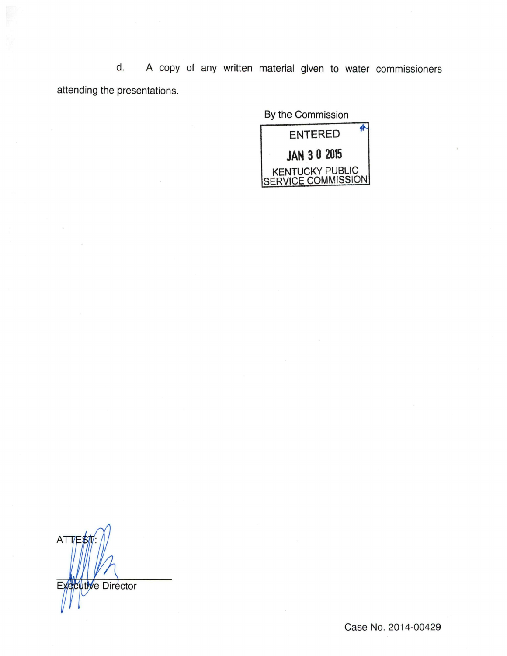d. A copy of any written material given to water commissioners attending the presentations.

By the Commission



AT Executive Director

Case No. 2014-00429